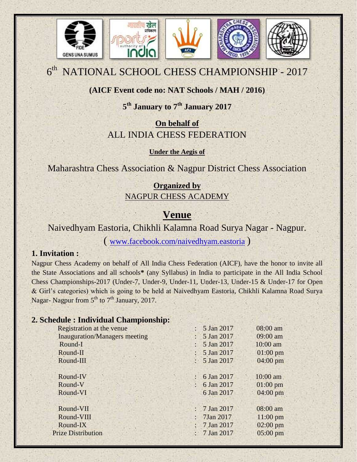

# $6<sup>th</sup>$  NATIONAL SCHOOL CHESS CHAMPIONSHIP - 2017

## **(AICF Event code no: NAT Schools / MAH / 2016)**

## **5 th January to 7th January 2017**

## **On behalf of** ALL INDIA CHESS FEDERATION

**Under the Aegis of**

Maharashtra Chess Association & Nagpur District Chess Association

## **Organized by** NAGPUR CHESS ACADEMY

## **Venue**

Naivedhyam Eastoria, Chikhli Kalamna Road Surya Nagar - Nagpur.

( [www.facebook.com/naivedhyam.eastoria](http://www.facebook.com/naivedhyam.eastoria) )

## **1. Invitation :**

Nagpur Chess Academy on behalf of All India Chess Federation (AICF), have the honor to invite all the State Associations and all schools**\*** (any Syllabus) in India to participate in the All India School Chess Championships-2017 (Under-7, Under-9, Under-11, Under-13, Under-15 & Under-17 for Open & Girl's categories) which is going to be held at Naivedhyam Eastoria, Chikhli Kalamna Road Surya Nagar- Nagpur from 5<sup>th</sup> to 7<sup>th</sup> January, 2017.

## **2. Schedule : Individual Championship:**

| Registration at the venue            | 5 Jan 2017                                | 08:00 am           |
|--------------------------------------|-------------------------------------------|--------------------|
| <b>Inauguration/Managers meeting</b> | 5 Jan 2017                                | 09:00 am           |
| Round-I                              | 5 Jan 2017                                | 10:00 am           |
| Round-II                             | 5 Jan 2017                                | $01:00$ pm         |
| Round-III                            | : $5$ Jan 2017                            | $04:00 \text{ pm}$ |
|                                      |                                           |                    |
| Round-IV                             | 6 Jan 2017<br>$\mathbb{R}^n$              | 10:00 am           |
| Round-V                              | 6 Jan 2017<br>$\ddot{\phantom{a}}$        | $01:00$ pm         |
| Round-VI                             | 6 Jan 2017                                | 04:00 pm           |
|                                      |                                           |                    |
| Round-VII                            | 7 Jan 2017<br>$\mathcal{L}^{\mathcal{L}}$ | 08:00 am           |
| Round-VIII                           | 7Jan 2017                                 | $11:00$ pm         |
| Round-IX                             | 7 Jan 2017                                | $02:00 \text{ pm}$ |
| <b>Prize Distribution</b>            | : $7$ Jan 2017                            | $05:00$ pm         |
|                                      |                                           |                    |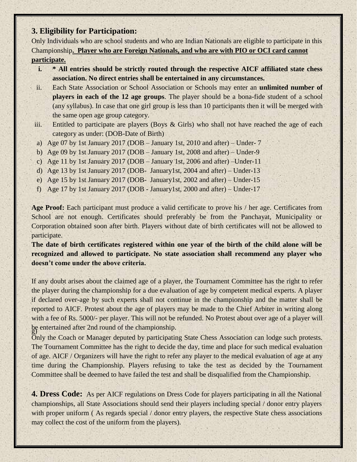### **3. Eligibility for Participation:**

Only Individuals who are school students and who are Indian Nationals are eligible to participate in this Championship**. Player who are Foreign Nationals, and who are with PIO or OCI card cannot participate.**

- **i. \* All entries should be strictly routed through the respective AICF affiliated state chess association. No direct entries shall be entertained in any circumstances.**
- ii. Each State Association or School Association or Schools may enter an **unlimited number of players in each of the 12 age groups**. The player should be a bona-fide student of a school (any syllabus). In case that one girl group is less than 10 participants then it will be merged with the same open age group category.
- iii. Entitled to participate are players (Boys & Girls) who shall not have reached the age of each category as under: (DOB-Date of Birth)
- a) Age 07 by 1st January 2017 (DOB January 1st, 2010 and after) Under- 7
- b) Age 09 by 1st January 2017 (DOB January 1st, 2008 and after) Under-9
- c) Age 11 by 1st January 2017 (DOB January 1st, 2006 and after) Under-11
- d) Age 13 by 1st January 2017 (DOB- January1st, 2004 and after) Under-13
- e) Age 15 by 1st January 2017 (DOB- January1st, 2002 and after) Under-15
- f) Age 17 by 1st January 2017 (DOB January1st, 2000 and after) Under-17

**Age Proof:** Each participant must produce a valid certificate to prove his / her age. Certificates from School are not enough. Certificates should preferably be from the Panchayat, Municipality or Corporation obtained soon after birth. Players without date of birth certificates will not be allowed to participate.

**The date of birth certificates registered within one year of the birth of the child alone will be recognized and allowed to participate. No state association shall recommend any player who doesn't come under the above criteria.**

If any doubt arises about the claimed age of a player, the Tournament Committee has the right to refer the player during the championship for a due evaluation of age by competent medical experts. A player if declared over-age by such experts shall not continue in the championship and the matter shall be reported to AICF. Protest about the age of players may be made to the Chief Arbiter in writing along with a fee of Rs. 5000/- per player. This will not be refunded. No Protest about over age of a player will be entertained after 2nd round of the championship.

Only the Coach or Manager deputed by participating State Chess Association can lodge such protests. The Tournament Committee has the right to decide the day, time and place for such medical evaluation of age. AICF / Organizers will have the right to refer any player to the medical evaluation of age at any time during the Championship. Players refusing to take the test as decided by the Tournament Committee shall be deemed to have failed the test and shall be disqualified from the Championship.

**4. Dress Code:** As per AICF regulations on Dress Code for players participating in all the National championships, all State Associations should send their players including special / donor entry players with proper uniform (As regards special / donor entry players, the respective State chess associations may collect the cost of the uniform from the players).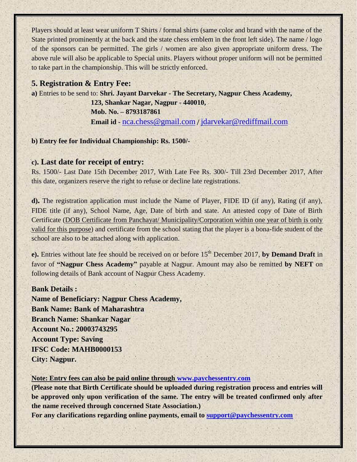Players should at least wear uniform T Shirts / formal shirts (same color and brand with the name of the State printed prominently at the back and the state chess emblem in the front left side). The name / logo of the sponsors can be permitted. The girls / women are also given appropriate uniform dress. The above rule will also be applicable to Special units. Players without proper uniform will not be permitted to take part in the championship. This will be strictly enforced.

#### **5. Registration & Entry Fee:**

**a)** Entries to be send to: **Shri. Jayant Darvekar - The Secretary, Nagpur Chess Academy,**

 **123, Shankar Nagar, Nagpur - 440010, Mob. No. – 8793187861 Email id -** [nca.chess@gmail.com](mailto:nca.chess@gmail.com) / [jdarvekar@rediffmail.com](mailto:jdarvekar@rediffmail.com)

#### **b) Entry fee for Individual Championship: Rs. 1500/-**

#### **c). Last date for receipt of entry:**

Rs. 1500/- Last Date 15th December 2017, With Late Fee Rs. 300/- Till 23rd December 2017, After this date, organizers reserve the right to refuse or decline late registrations.

**d).** The registration application must include the Name of Player, FIDE ID (if any), Rating (if any), FIDE title (if any), School Name, Age, Date of birth and state. An attested copy of Date of Birth Certificate (DOB Certificate from Panchayat/ Municipality/Corporation within one year of birth is only valid for this purpose) and certificate from the school stating that the player is a bona-fide student of the school are also to be attached along with application.

**e**). Entries without late fee should be received on or before 15<sup>th</sup> December 2017, by Demand Draft in favor of **"Nagpur Chess Academy"** payable at Nagpur. Amount may also be remitted **by NEFT** on following details of Bank account of Nagpur Chess Academy.

#### **Bank Details :**

**Name of Beneficiary: Nagpur Chess Academy, Bank Name: Bank of Maharashtra Branch Name: Shankar Nagar Account No.: 20003743295 Account Type: Saving IFSC Code: MAHB0000153 City: Nagpur.**

#### **Note: Entry fees can also be paid online through [www.paychessentry.com](http://www.paychessentry.com/)**

**(Please note that Birth Certificate should be uploaded during registration process and entries will be approved only upon verification of the same. The entry will be treated confirmed only after the name received through concerned State Association.)**

**For any clarifications regarding online payments, email to [support@paychessentry.com](mailto:support@paychessentry.com)**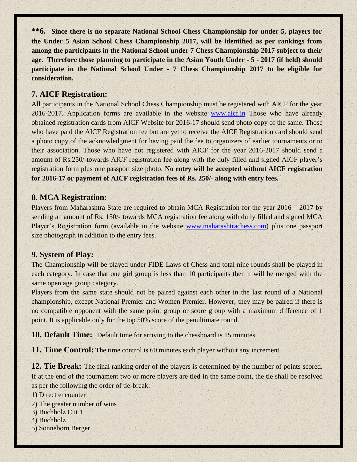**\*\*6. Since there is no separate National School Chess Championship for under 5, players for the Under 5 Asian School Chess Championship 2017, will be identified as per rankings from among the participants in the National School under 7 Chess Championship 2017 subject to their age. Therefore those planning to participate in the Asian Youth Under - 5 - 2017 (if held) should participate in the National School Under - 7 Chess Championship 2017 to be eligible for consideration.**

### **7. AICF Registration:**

All participants in the National School Chess Championship must be registered with AICF for the year 2016-2017. Application forms are available in the website [www.aicf.in](http://www.aicf.in/) Those who have already obtained registration cards from AICF Website for 2016-17 should send photo copy of the same. Those who have paid the AICF Registration fee but are yet to receive the AICF Registration card should send a photo copy of the acknowledgment for having paid the fee to organizers of earlier tournaments or to their association. Those who have not registered with AICF for the year 2016-2017 should send a amount of Rs.250/-towards AICF registration fee along with the duly filled and signed AICF player's registration form plus one passport size photo. **No entry will be accepted without AICF registration for 2016-17 or payment of AICF registration fees of Rs. 250/- along with entry fees.**

#### **8. MCA Registration:**

Players from Maharashtra State are required to obtain MCA Registration for the year 2016 – 2017 by sending an amount of Rs. 150/- towards MCA registration fee along with dully filled and signed MCA Player's Registration form (available in the website [www.maharashtrachess.com\)](http://www.maharashtrachess.com/) plus one passport size photograph in addition to the entry fees.

#### **9. System of Play:**

The Championship will be played under FIDE Laws of Chess and total nine rounds shall be played in each category. In case that one girl group is less than 10 participants then it will be merged with the same open age group category.

Players from the same state should not be paired against each other in the last round of a National championship, except National Premier and Women Premier. However, they may be paired if there is no compatible opponent with the same point group or score group with a maximum difference of 1 point. It is applicable only for the top 50% score of the penultimate round.

**10. Default Time:** Default time for arriving to the chessboard is 15 minutes.

**11. Time Control:** The time control is 60 minutes each player without any increment.

**12. Tie Break:** The final ranking order of the players is determined by the number of points scored. If at the end of the tournament two or more players are tied in the same point, the tie shall be resolved as per the following the order of tie-break:

1) Direct encounter

- 2) The greater number of wins
- 3) Buchholz Cut 1
- 4) Buchholz
- 5) Sonneborn Berger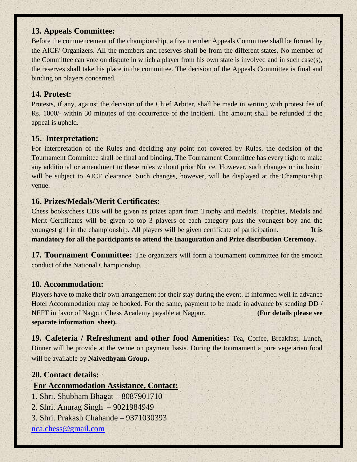### **13. Appeals Committee:**

Before the commencement of the championship, a five member Appeals Committee shall be formed by the AICF/ Organizers. All the members and reserves shall be from the different states. No member of the Committee can vote on dispute in which a player from his own state is involved and in such case(s), the reserves shall take his place in the committee. The decision of the Appeals Committee is final and binding on players concerned.

### **14. Protest:**

Protests, if any, against the decision of the Chief Arbiter, shall be made in writing with protest fee of Rs. 1000/- within 30 minutes of the occurrence of the incident. The amount shall be refunded if the appeal is upheld.

## **15. Interpretation:**

For interpretation of the Rules and deciding any point not covered by Rules, the decision of the Tournament Committee shall be final and binding. The Tournament Committee has every right to make any additional or amendment to these rules without prior Notice. However, such changes or inclusion will be subject to AICF clearance. Such changes, however, will be displayed at the Championship venue.

## **16. Prizes/Medals/Merit Certificates:**

Chess books/chess CDs will be given as prizes apart from Trophy and medals. Trophies, Medals and Merit Certificates will be given to top 3 players of each category plus the youngest boy and the youngest girl in the championship. All players will be given certificate of participation. **It is mandatory for all the participants to attend the Inauguration and Prize distribution Ceremony.**

**17. Tournament Committee:** The organizers will form a tournament committee for the smooth conduct of the National Championship.

### **18. Accommodation:**

Players have to make their own arrangement for their stay during the event. If informed well in advance Hotel Accommodation may be booked. For the same, payment to be made in advance by sending DD / NEFT in favor of Nagpur Chess Academy payable at Nagpur. **(For details please see separate information sheet).**

**19. Cafeteria / Refreshment and other food Amenities:** Tea, Coffee, Breakfast, Lunch, Dinner will be provide at the venue on payment basis. During the tournament a pure vegetarian food will be available by **Naivedhyam Group.**

## **20. Contact details:**

## **For Accommodation Assistance, Contact:**

- 1. Shri. Shubham Bhagat 8087901710
- 2. Shri. Anurag Singh 9021984949
- 3. Shri. Prakash Chahande 9371030393

[nca.chess@gmail.com](mailto:nca.chess@gmail.com)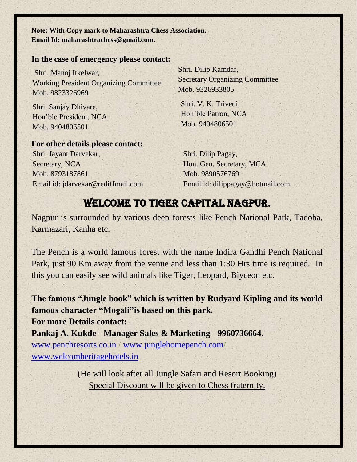**Note: With Copy mark to Maharashtra Chess Association. Email Id: maharashtrachess@gmail.com.**

#### **In the case of emergency please contact:**

Shri. Manoj Itkelwar, Working President Organizing Committee Mob. 9823326969

Shri. Sanjay Dhivare, Hon'ble President, NCA Mob. 9404806501

#### **For other details please contact:**

Shri. Jayant Darvekar, Secretary, NCA Mob. 8793187861 Email id: jdarvekar@rediffmail.com Shri. Dilip Kamdar, Secretary Organizing Committee Mob. 9326933805

Shri. V. K. Trivedi, Hon'ble Patron, NCA Mob. 9404806501

Shri. Dilip Pagay, Hon. Gen. Secretary, MCA Mob. 9890576769 Email id: [dilippagay@hotmail.com](mailto:dilippagay@hotmail.com)

## WELCOME TO TIGER CAPITAL NAGPUR.

Nagpur is surrounded by various deep forests like Pench National Park, Tadoba, Karmazari, Kanha etc.

The Pench is a world famous forest with the name Indira Gandhi Pench National Park, just 90 Km away from the venue and less than 1:30 Hrs time is required. In this you can easily see wild animals like Tiger, Leopard, Biyceon etc.

**The famous "Jungle book" which is written by Rudyard Kipling and its world famous character "Mogali"is based on this park.**

**For more Details contact:** 

**Pankaj A. Kukde - Manager Sales & Marketing - 9960736664.**

[www.penchresorts.co.in](http://www.penchresorts.co.in/) / [www.junglehomepench.com/](http://www.junglehomepench.com/) [www.welcomheritagehotels.in](http://www.welcomheritagehotels.in/)

> (He will look after all Jungle Safari and Resort Booking) Special Discount will be given to Chess fraternity.